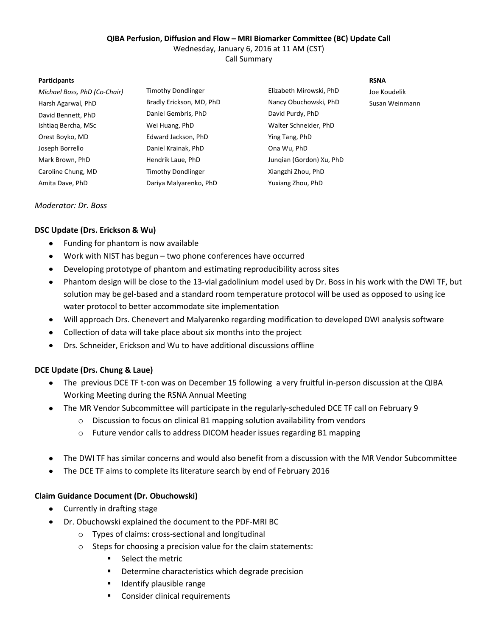## **QIBA Perfusion, Diffusion and Flow – MRI Biomarker Committee (BC) Update Call**

Wednesday, January 6, 2016 at 11 AM (CST)

Call Summary

#### **Participants RSNA**

| Michael Boss, PhD (Co-Chair) | Timothy Dondlinger       | Elizabeth Mirowski, PhD  | Joe Koudelik   |
|------------------------------|--------------------------|--------------------------|----------------|
| Harsh Agarwal, PhD           | Bradly Erickson, MD, PhD | Nancy Obuchowski, PhD    | Susan Weinmann |
| David Bennett, PhD           | Daniel Gembris, PhD      | David Purdy, PhD         |                |
| Ishtiag Bercha, MSc          | Wei Huang, PhD           | Walter Schneider, PhD    |                |
| Orest Boyko, MD              | Edward Jackson, PhD      | Ying Tang, PhD           |                |
| Joseph Borrello              | Daniel Krainak, PhD      | Ona Wu, PhD              |                |
| Mark Brown, PhD              | Hendrik Laue, PhD        | Jungian (Gordon) Xu, PhD |                |
| Caroline Chung, MD           | Timothy Dondlinger       | Xiangzhi Zhou, PhD       |                |
| Amita Dave, PhD              | Dariya Malyarenko, PhD   | Yuxiang Zhou, PhD        |                |

# *Moderator: Dr. Boss*

# **DSC Update (Drs. Erickson & Wu)**

- Funding for phantom is now available  $\bullet$
- Work with NIST has begun two phone conferences have occurred
- Developing prototype of phantom and estimating reproducibility across sites
- $\bullet$ Phantom design will be close to the 13-vial gadolinium model used by Dr. Boss in his work with the DWI TF, but solution may be gel-based and a standard room temperature protocol will be used as opposed to using ice water protocol to better accommodate site implementation
- Will approach Drs. Chenevert and Malyarenko regarding modification to developed DWI analysis software
- Collection of data will take place about six months into the project  $\bullet$
- Drs. Schneider, Erickson and Wu to have additional discussions offline

# **DCE Update (Drs. Chung & Laue)**

- The previous DCE TF t-con was on December 15 following a very fruitful in-person discussion at the QIBA Working Meeting during the RSNA Annual Meeting
- The MR Vendor Subcommittee will participate in the regularly-scheduled DCE TF call on February 9
	- $\circ$  Discussion to focus on clinical B1 mapping solution availability from vendors
	- o Future vendor calls to address DICOM header issues regarding B1 mapping
- The DWI TF has similar concerns and would also benefit from a discussion with the MR Vendor Subcommittee  $\bullet$
- $\bullet$ The DCE TF aims to complete its literature search by end of February 2016

## **Claim Guidance Document (Dr. Obuchowski)**

- Currently in drafting stage
- Dr. Obuchowski explained the document to the PDF-MRI BC  $\bullet$ 
	- o Types of claims: cross-sectional and longitudinal
	- o Steps for choosing a precision value for the claim statements:
		- **Select the metric**
		- **•** Determine characteristics which degrade precision
		- **If** Identify plausible range
		- **Consider clinical requirements**